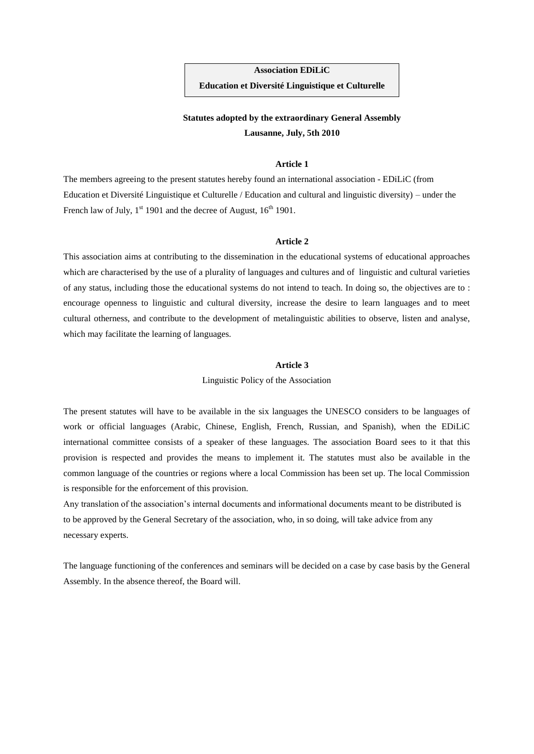**Association EDiLiC Education et Diversité Linguistique et Culturelle**

# **Statutes adopted by the extraordinary General Assembly Lausanne, July, 5th 2010**

# **Article 1**

The members agreeing to the present statutes hereby found an international association - EDiLiC (from Education et Diversité Linguistique et Culturelle / Education and cultural and linguistic diversity) – under the French law of July,  $1^{st}$  1901 and the decree of August,  $16^{th}$  1901.

### **Article 2**

This association aims at contributing to the dissemination in the educational systems of educational approaches which are characterised by the use of a plurality of languages and cultures and of linguistic and cultural varieties of any status, including those the educational systems do not intend to teach. In doing so, the objectives are to : encourage openness to linguistic and cultural diversity, increase the desire to learn languages and to meet cultural otherness, and contribute to the development of metalinguistic abilities to observe, listen and analyse, which may facilitate the learning of languages.

# **Article 3**

Linguistic Policy of the Association

The present statutes will have to be available in the six languages the UNESCO considers to be languages of work or official languages (Arabic, Chinese, English, French, Russian, and Spanish), when the EDiLiC international committee consists of a speaker of these languages. The association Board sees to it that this provision is respected and provides the means to implement it. The statutes must also be available in the common language of the countries or regions where a local Commission has been set up. The local Commission is responsible for the enforcement of this provision.

Any translation of the association's internal documents and informational documents meant to be distributed is to be approved by the General Secretary of the association, who, in so doing, will take advice from any necessary experts.

The language functioning of the conferences and seminars will be decided on a case by case basis by the General Assembly. In the absence thereof, the Board will.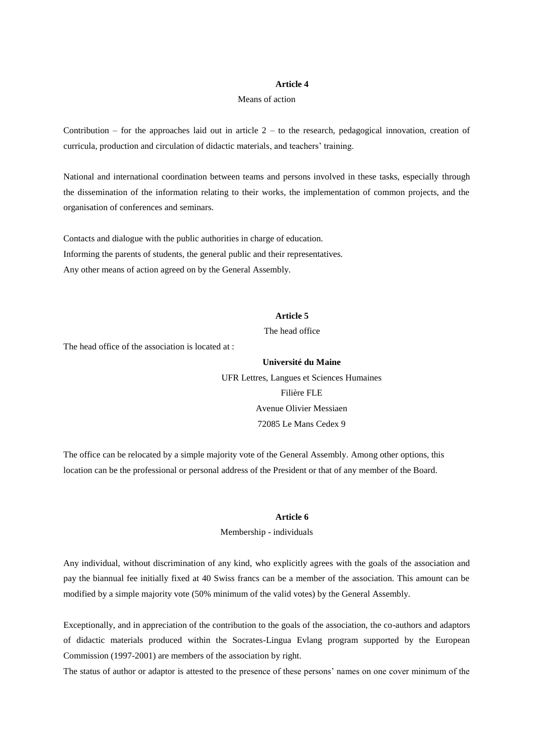# **Article 4**

#### Means of action

Contribution – for the approaches laid out in article  $2 -$  to the research, pedagogical innovation, creation of curricula, production and circulation of didactic materials, and teachers' training.

National and international coordination between teams and persons involved in these tasks, especially through the dissemination of the information relating to their works, the implementation of common projects, and the organisation of conferences and seminars.

Contacts and dialogue with the public authorities in charge of education. Informing the parents of students, the general public and their representatives. Any other means of action agreed on by the General Assembly.

# **Article 5**

The head office

The head office of the association is located at :

# **Université du Maine**

UFR Lettres, Langues et Sciences Humaines Filière FLE Avenue Olivier Messiaen 72085 Le Mans Cedex 9

The office can be relocated by a simple majority vote of the General Assembly. Among other options, this location can be the professional or personal address of the President or that of any member of the Board.

#### **Article 6**

#### Membership - individuals

Any individual, without discrimination of any kind, who explicitly agrees with the goals of the association and pay the biannual fee initially fixed at 40 Swiss francs can be a member of the association. This amount can be modified by a simple majority vote (50% minimum of the valid votes) by the General Assembly.

Exceptionally, and in appreciation of the contribution to the goals of the association, the co-authors and adaptors of didactic materials produced within the Socrates-Lingua Evlang program supported by the European Commission (1997-2001) are members of the association by right.

The status of author or adaptor is attested to the presence of these persons' names on one cover minimum of the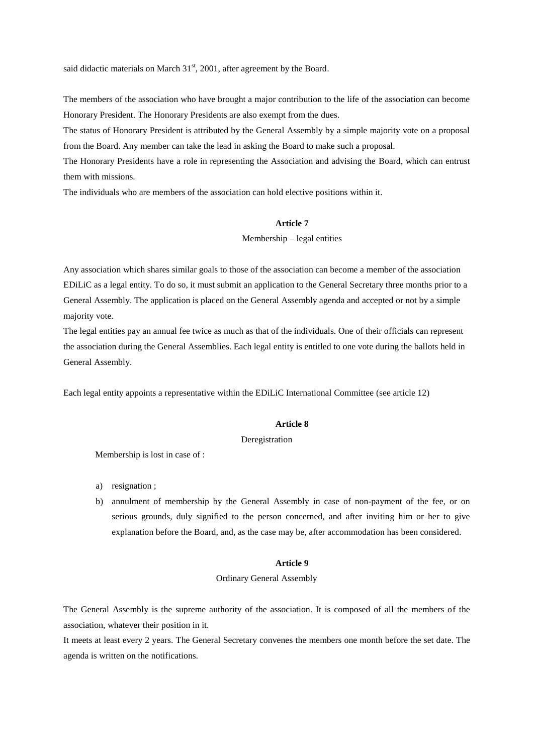said didactic materials on March  $31<sup>st</sup>$ , 2001, after agreement by the Board.

The members of the association who have brought a major contribution to the life of the association can become Honorary President. The Honorary Presidents are also exempt from the dues.

The status of Honorary President is attributed by the General Assembly by a simple majority vote on a proposal from the Board. Any member can take the lead in asking the Board to make such a proposal.

The Honorary Presidents have a role in representing the Association and advising the Board, which can entrust them with missions.

The individuals who are members of the association can hold elective positions within it.

# **Article 7**

Membership – legal entities

Any association which shares similar goals to those of the association can become a member of the association EDiLiC as a legal entity. To do so, it must submit an application to the General Secretary three months prior to a General Assembly. The application is placed on the General Assembly agenda and accepted or not by a simple majority vote.

The legal entities pay an annual fee twice as much as that of the individuals. One of their officials can represent the association during the General Assemblies. Each legal entity is entitled to one vote during the ballots held in General Assembly.

Each legal entity appoints a representative within the EDiLiC International Committee (see article 12)

### **Article 8**

#### Deregistration

Membership is lost in case of :

- a) resignation ;
- b) annulment of membership by the General Assembly in case of non-payment of the fee, or on serious grounds, duly signified to the person concerned, and after inviting him or her to give explanation before the Board, and, as the case may be, after accommodation has been considered.

# **Article 9**

# Ordinary General Assembly

The General Assembly is the supreme authority of the association. It is composed of all the members of the association, whatever their position in it.

It meets at least every 2 years. The General Secretary convenes the members one month before the set date. The agenda is written on the notifications.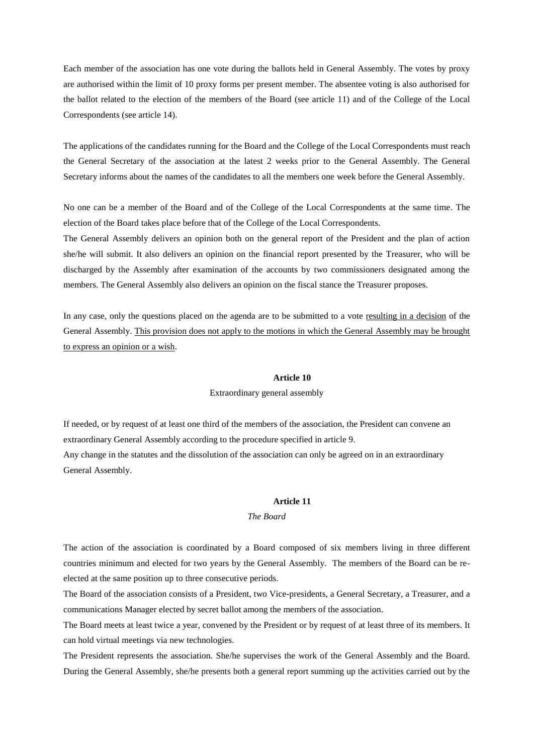Each member of the association has one vote during the ballots held in General Assembly. The votes by proxy are authorised within the limit of 10 proxy forms per present member. The absentee voting is also authorised for the ballot related to the election of the members of the Board (see article 11) and of the College of the Local Correspondents (see article 14).

The applications of the candidates running for the Board and the College of the Local Correspondents must reach the General Secretary of the association at the latest 2 weeks prior to the General Assembly. The General Secretary informs about the names of the candidates to all the members one week before the General Assembly.

No one can be a member of the Board and of the College of the Local Correspondents at the same time. The election of the Board takes place before that of the College of the Local Correspondents.

The General Assembly delivers an opinion both on the general report of the President and the plan of action she/he will submit. It also delivers an opinion on the financial report presented by the Treasurer, who will be discharged by the Assembly after examination of the accounts by two commissioners designated among the members. The General Assembly also delivers an opinion on the fiscal stance the Treasurer proposes.

In any case, only the questions placed on the agenda are to be submitted to a vote resulting in a decision of the General Assembly. This provision does not apply to the motions in which the General Assembly may be brought to express an opinion or a wish.

# **Article 10**

#### Extraordinary general assembly

If needed, or by request of at least one third of the members of the association, the President can convene an extraordinary General Assembly according to the procedure specified in article 9. Any change in the statutes and the dissolution of the association can only be agreed on in an extraordinary General Assembly.

### **Article 11**

#### *The Board*

The action of the association is coordinated by a Board composed of six members living in three different countries minimum and elected for two years by the General Assembly. The members of the Board can be reelected at the same position up to three consecutive periods.

The Board of the association consists of a President, two Vice-presidents, a General Secretary, a Treasurer, and a communications Manager elected by secret ballot among the members of the association.

The Board meets at least twice a year, convened by the President or by request of at least three of its members. It can hold virtual meetings via new technologies.

The President represents the association. She/he supervises the work of the General Assembly and the Board. During the General Assembly, she/he presents both a general report summing up the activities carried out by the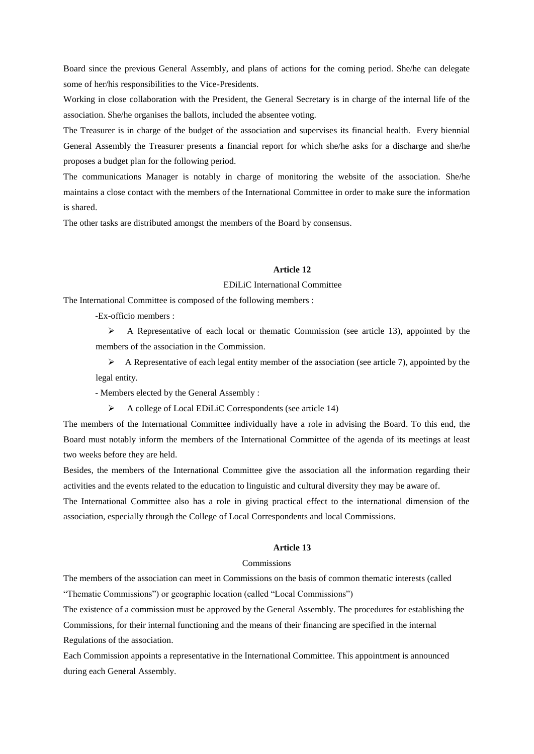Board since the previous General Assembly, and plans of actions for the coming period. She/he can delegate some of her/his responsibilities to the Vice-Presidents.

Working in close collaboration with the President, the General Secretary is in charge of the internal life of the association. She/he organises the ballots, included the absentee voting.

The Treasurer is in charge of the budget of the association and supervises its financial health. Every biennial General Assembly the Treasurer presents a financial report for which she/he asks for a discharge and she/he proposes a budget plan for the following period.

The communications Manager is notably in charge of monitoring the website of the association. She/he maintains a close contact with the members of the International Committee in order to make sure the information is shared.

The other tasks are distributed amongst the members of the Board by consensus.

# **Article 12**

# EDiLiC International Committee

The International Committee is composed of the following members :

-Ex-officio members :

 $\triangleright$  A Representative of each local or thematic Commission (see article 13), appointed by the members of the association in the Commission.

 $\triangleright$  A Representative of each legal entity member of the association (see article 7), appointed by the legal entity.

- Members elected by the General Assembly :

 $\triangleright$  A college of Local EDiLiC Correspondents (see article 14)

The members of the International Committee individually have a role in advising the Board. To this end, the Board must notably inform the members of the International Committee of the agenda of its meetings at least two weeks before they are held.

Besides, the members of the International Committee give the association all the information regarding their activities and the events related to the education to linguistic and cultural diversity they may be aware of.

The International Committee also has a role in giving practical effect to the international dimension of the association, especially through the College of Local Correspondents and local Commissions.

# **Article 13**

# Commissions

The members of the association can meet in Commissions on the basis of common thematic interests (called "Thematic Commissions") or geographic location (called "Local Commissions")

The existence of a commission must be approved by the General Assembly. The procedures for establishing the Commissions, for their internal functioning and the means of their financing are specified in the internal Regulations of the association.

Each Commission appoints a representative in the International Committee. This appointment is announced during each General Assembly.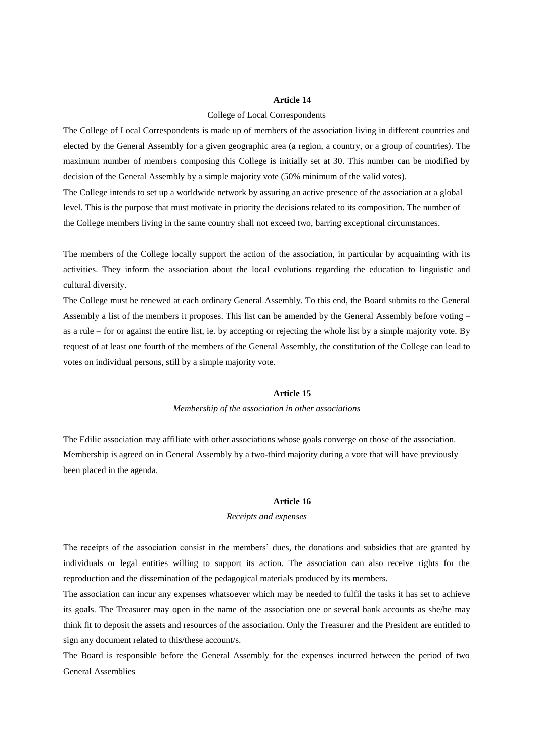#### **Article 14**

#### College of Local Correspondents

The College of Local Correspondents is made up of members of the association living in different countries and elected by the General Assembly for a given geographic area (a region, a country, or a group of countries). The maximum number of members composing this College is initially set at 30. This number can be modified by decision of the General Assembly by a simple majority vote (50% minimum of the valid votes).

The College intends to set up a worldwide network by assuring an active presence of the association at a global level. This is the purpose that must motivate in priority the decisions related to its composition. The number of the College members living in the same country shall not exceed two, barring exceptional circumstances.

The members of the College locally support the action of the association, in particular by acquainting with its activities. They inform the association about the local evolutions regarding the education to linguistic and cultural diversity.

The College must be renewed at each ordinary General Assembly. To this end, the Board submits to the General Assembly a list of the members it proposes. This list can be amended by the General Assembly before voting – as a rule – for or against the entire list, ie. by accepting or rejecting the whole list by a simple majority vote. By request of at least one fourth of the members of the General Assembly, the constitution of the College can lead to votes on individual persons, still by a simple majority vote.

# **Article 15**

#### *Membership of the association in other associations*

The Edilic association may affiliate with other associations whose goals converge on those of the association. Membership is agreed on in General Assembly by a two-third majority during a vote that will have previously been placed in the agenda.

#### **Article 16**

#### *Receipts and expenses*

The receipts of the association consist in the members' dues, the donations and subsidies that are granted by individuals or legal entities willing to support its action. The association can also receive rights for the reproduction and the dissemination of the pedagogical materials produced by its members.

The association can incur any expenses whatsoever which may be needed to fulfil the tasks it has set to achieve its goals. The Treasurer may open in the name of the association one or several bank accounts as she/he may think fit to deposit the assets and resources of the association. Only the Treasurer and the President are entitled to sign any document related to this/these account/s.

The Board is responsible before the General Assembly for the expenses incurred between the period of two General Assemblies